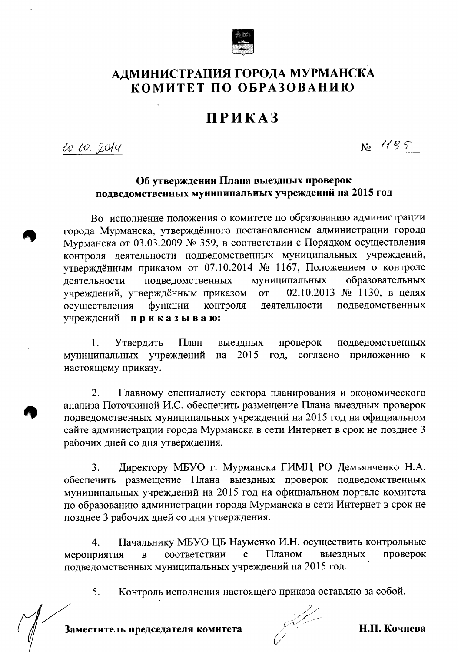

## АДМИНИСТРАЦИЯ ГОРОДА МУРМАНСКА КОМИТЕТ ПО ОБРАЗОВАНИЮ

## **ПРИКАЗ**

20.20.2014

 $N_2$  1195

## Об утверждении Плана выездных проверок подведомственных муниципальных учреждений на 2015 год

Во исполнение положения о комитете по образованию администрации города Мурманска, утверждённого постановлением администрации города Мурманска от 03.03.2009 № 359, в соответствии с Порядком осуществления контроля деятельности подведомственных муниципальных учреждений, утверждённым приказом от 07.10.2014 № 1167, Положением о контроле муниципальных образовательных деятельности подведомственных 02.10.2013 № 1130, в целях учреждений, утверждённым приказом  $\overline{or}$ контроля подведомственных осуществления функции деятельности учреждений приказываю:

1. Утвердить План выездных проверок подведомственных муниципальных учреждений на 2015 год, согласно приложению  $\mathbf{K}$ настоящему приказу.

 $2.$ Главному специалисту сектора планирования и экономического анализа Поточкиной И.С. обеспечить размещение Плана выездных проверок подведомственных муниципальных учреждений на 2015 год на официальном сайте администрации города Мурманска в сети Интернет в срок не позднее 3 рабочих дней со дня утверждения.

Директору МБУО г. Мурманска ГИМЦ РО Демьянченко Н.А. 3. обеспечить размещение Плана выездных проверок подведомственных муниципальных учреждений на 2015 год на официальном портале комитета по образованию администрации города Мурманска в сети Интернет в срок не позднее 3 рабочих дней со дня утверждения.

4. Начальнику МБУО ЦБ Науменко И.Н. осуществить контрольные  $\mathbf{c}$ Планом проверок мероприятия  $\overline{B}$ соответствии выездных подведомственных муниципальных учреждений на 2015 год.

5. Контроль исполнения настоящего приказа оставляю за собой.

Н.П. Кочнева

Заместитель председателя комитета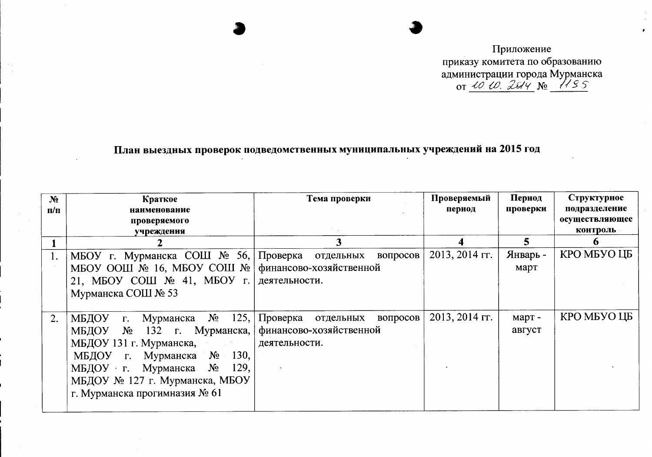Приложение приказу комитета по образованию администрации города Мурманска<br>or <u>40 to 2 G/4</u> No 1485

## План выездных проверок подведомственных муниципальных учреждений на 2015 год

| N <sub>2</sub><br>$\Pi/\Pi$ | Краткое<br>наименование                                                                                                                                                                                                         | Тема проверки                                                              | Проверяемый<br>период | Период<br>проверки | Структурное<br>подразделение |
|-----------------------------|---------------------------------------------------------------------------------------------------------------------------------------------------------------------------------------------------------------------------------|----------------------------------------------------------------------------|-----------------------|--------------------|------------------------------|
|                             | проверяемого                                                                                                                                                                                                                    |                                                                            |                       |                    | осуществляющее               |
|                             | учреждения                                                                                                                                                                                                                      |                                                                            |                       |                    | контроль                     |
|                             |                                                                                                                                                                                                                                 |                                                                            | Δ                     | 5                  |                              |
| 1.                          | МБОУ г. Мурманска СОШ № 56, Проверка отдельных                                                                                                                                                                                  | вопросов $ $                                                               | 2013, 2014 гг.        | Январь -           | КРО МБУО ЦБ                  |
|                             | MEOV OOIII $\mathbb{N}$ 16, MEOV COIII $\mathbb{N}$                                                                                                                                                                             | финансово-хозяйственной                                                    |                       | март               |                              |
|                             | 21, MEOY COIII $\mathcal{N}$ <sup>0</sup> 41, MEOY r.                                                                                                                                                                           | деятельности.                                                              |                       |                    |                              |
|                             | Мурманска СОШ № 53                                                                                                                                                                                                              |                                                                            |                       |                    |                              |
| 2.                          | г. Мурманска $N_2$ 125,<br>МБДОУ<br>МБДОУ № 132 г. Мурманска,<br>МБДОУ 131 г. Мурманска,<br>г. Мурманска $N_2$ 130,<br>МБДОУ<br>МБДОУ г. Мурманска №<br>129,<br>МБДОУ № 127 г. Мурманска, МБОУ<br>г. Мурманска прогимназия № 61 | Проверка отдельных<br>вопросов<br>финансово-хозяйственной<br>деятельности. | $2013, 2014$ FF.      | март -<br>август   | КРО МБУО ЦБ                  |